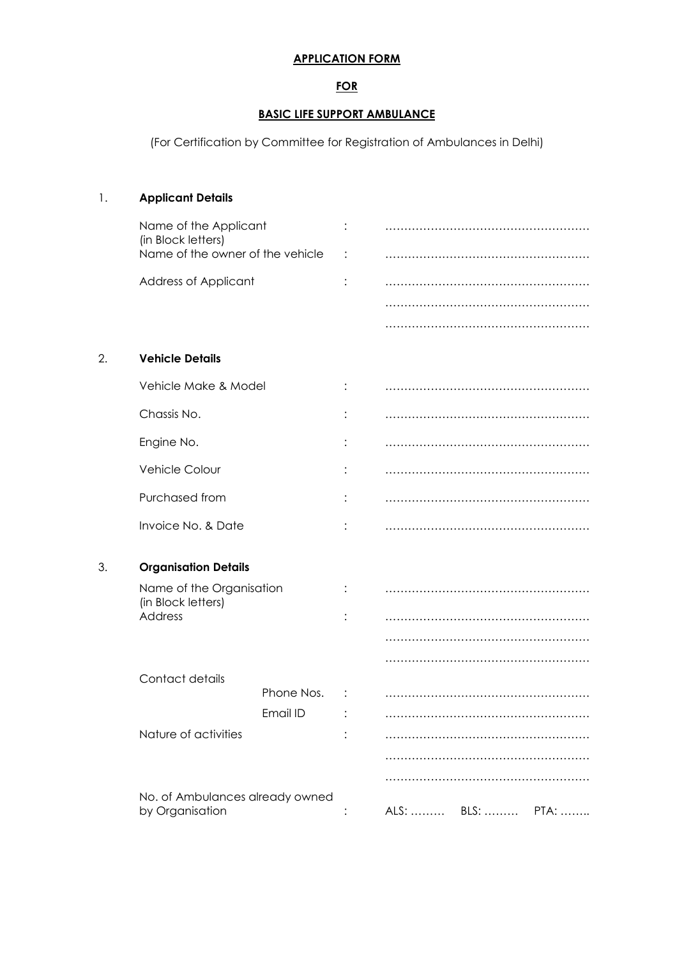#### APPLICATION FORM

### FOR

#### BASIC LIFE SUPPORT AMBULANCE

(For Certification by Committee for Registration of Ambulances in Delhi)

# 1. Applicant Details Name of the Applicant : ……………………………………………… (in Block letters) Name of the owner of the vehicle : ……………………………………………… Address of Applicant : ……………………………………………… ……………………………………………… ……………………………………………… 2. Vehicle Details Vehicle Make & Model : ……………………………………………… Chassis No. : ……………………………………………… Engine No. 2008. 2009. [2010] The Contract Contract Contract Contract Contract Contract Contract Contract Contract Contract Contract Contract Contract Contract Contract Contract Contract Contract Contract Contract Contract Vehicle Colour : ……………………………………………… Purchased from : ……………………………………………… Invoice No. & Date : ……………………………………………… 3. Organisation Details Name of the Organisation : ……………………………………………… (in Block letters) Address : ……………………………………………… …………………………………………………… ……………………………………………… Contact details Phone Nos. : ……………………………………………… Email ID : ……………………………………………… Nature of activities : ……………………………………………… ……………………………………………… ……………………………………………… No. of Ambulances already owned by Organisation : ALS: ……… BLS: ……… PTA: ………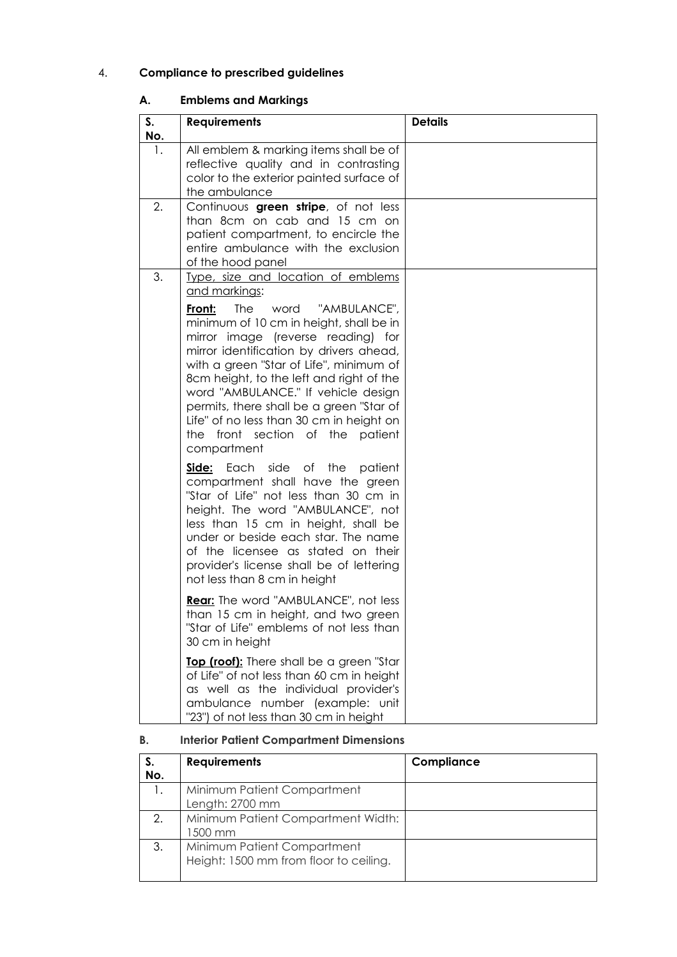## 4. Compliance to prescribed guidelines

## A. Emblems and Markings

| S.<br><b>No.</b> | <b>Requirements</b>                                                                                                                                                                                                                                                                                                                                                                                                                                                                               | <b>Details</b> |
|------------------|---------------------------------------------------------------------------------------------------------------------------------------------------------------------------------------------------------------------------------------------------------------------------------------------------------------------------------------------------------------------------------------------------------------------------------------------------------------------------------------------------|----------------|
| 1.               | All emblem & marking items shall be of<br>reflective quality and in contrasting<br>color to the exterior painted surface of<br>the ambulance                                                                                                                                                                                                                                                                                                                                                      |                |
| 2.               | Continuous green stripe, of not less<br>than 8cm on cab and 15 cm on<br>patient compartment, to encircle the<br>entire ambulance with the exclusion<br>of the hood panel                                                                                                                                                                                                                                                                                                                          |                |
| 3.               | Type, size and location of emblems<br>and markings:<br>The<br>word<br>"AMBULANCE",<br>Front:<br>minimum of 10 cm in height, shall be in<br>mirror image (reverse reading) for<br>mirror identification by drivers ahead,<br>with a green "Star of Life", minimum of<br>8cm height, to the left and right of the<br>word "AMBULANCE." If vehicle design<br>permits, there shall be a green "Star of<br>Life" of no less than 30 cm in height on<br>the front section of the patient<br>compartment |                |
|                  | Side: Each side of the<br>patient<br>compartment shall have the green<br>"Star of Life" not less than 30 cm in<br>height. The word "AMBULANCE", not<br>less than 15 cm in height, shall be<br>under or beside each star. The name<br>of the licensee as stated on their<br>provider's license shall be of lettering<br>not less than 8 cm in height                                                                                                                                               |                |
|                  | Rear: The word "AMBULANCE", not less<br>than 15 cm in height, and two green<br>"Star of Life" emblems of not less than<br>30 cm in height                                                                                                                                                                                                                                                                                                                                                         |                |
|                  | Top (roof): There shall be a green "Star<br>of Life" of not less than 60 cm in height<br>as well as the individual provider's<br>ambulance number (example: unit<br>"23") of not less than 30 cm in height                                                                                                                                                                                                                                                                                        |                |

## B. Interior Patient Compartment Dimensions

| S.<br>No. | <b>Requirements</b>                                                   | Compliance |
|-----------|-----------------------------------------------------------------------|------------|
|           | Minimum Patient Compartment<br>Length: 2700 mm                        |            |
| 2.        | Minimum Patient Compartment Width:<br>1500 mm                         |            |
| 3.        | Minimum Patient Compartment<br>Height: 1500 mm from floor to ceiling. |            |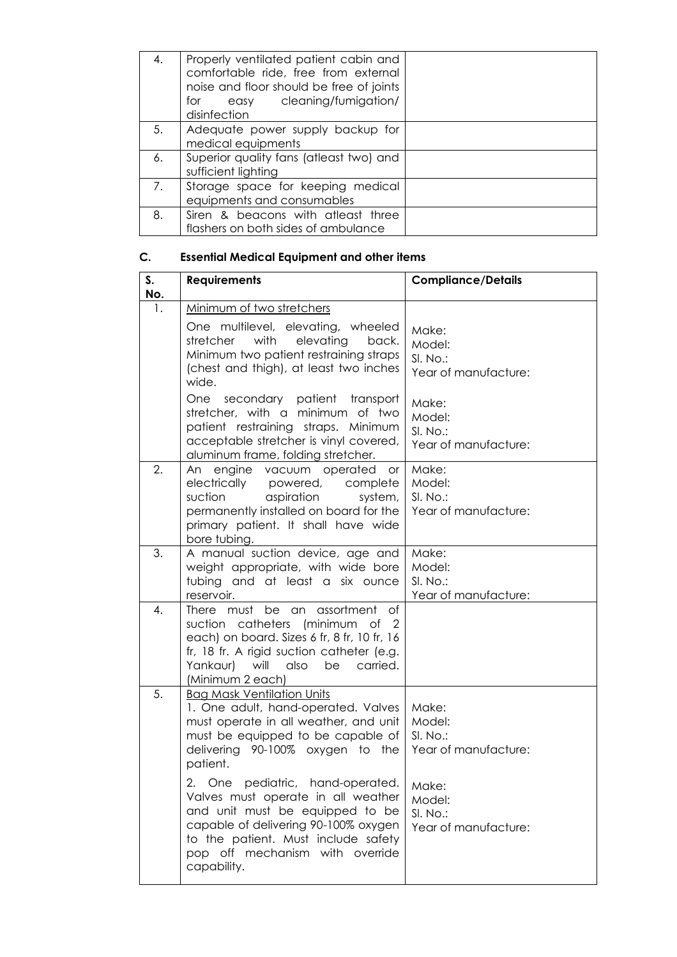| 4. | Properly ventilated patient cabin and<br>comfortable ride, free from external<br>noise and floor should be free of joints<br>easy cleaning/fumigation/<br>for<br>disinfection |  |
|----|-------------------------------------------------------------------------------------------------------------------------------------------------------------------------------|--|
| 5. | Adequate power supply backup for<br>medical equipments                                                                                                                        |  |
| 6. | Superior quality fans (atleast two) and<br>sufficient lighting                                                                                                                |  |
| 7. | Storage space for keeping medical<br>equipments and consumables                                                                                                               |  |
| 8. | Siren & beacons with atleast three<br>flashers on both sides of ambulance                                                                                                     |  |

## C. Essential Medical Equipment and other items

| S.<br>No. | <b>Requirements</b>                                                                                                                                                                                                                        | <b>Compliance/Details</b>                            |  |
|-----------|--------------------------------------------------------------------------------------------------------------------------------------------------------------------------------------------------------------------------------------------|------------------------------------------------------|--|
| 1.        | Minimum of two stretchers                                                                                                                                                                                                                  |                                                      |  |
|           | One multilevel, elevating, wheeled<br>with<br>elevating<br>stretcher<br>back.<br>Minimum two patient restraining straps<br>(chest and thigh), at least two inches<br>wide.                                                                 | Make:<br>Model:<br>SI. No.:<br>Year of manufacture:  |  |
|           | One<br>secondary patient transport<br>stretcher, with a minimum of two<br>patient restraining straps. Minimum<br>acceptable stretcher is vinyl covered,<br>aluminum frame, folding stretcher.                                              | Make:<br>Model:<br>$SLNO.$ :<br>Year of manufacture: |  |
| 2.        | An engine vacuum operated<br><b>or</b><br>electrically powered, complete<br>suction<br>aspiration<br>system,<br>permanently installed on board for the<br>primary patient. It shall have wide<br>bore tubing.                              | Make:<br>Model:<br>SI. No.:<br>Year of manufacture:  |  |
| 3.        | A manual suction device, age and<br>weight appropriate, with wide bore<br>tubing and at least a six ounce<br>reservoir.                                                                                                                    | Make:<br>Model:<br>SI. No.:<br>Year of manufacture:  |  |
| 4.        | There must be an assortment of<br>suction catheters (minimum of 2<br>each) on board. Sizes 6 fr, 8 fr, 10 fr, 16<br>fr, 18 fr. A rigid suction catheter (e.g.<br>Yankaur) will also be<br>carried.<br>(Minimum 2 each)                     |                                                      |  |
| 5.        | <b>Bag Mask Ventilation Units</b><br>1. One adult, hand-operated. Valves<br>must operate in all weather, and unit<br>must be equipped to be capable of<br>delivering 90-100% oxygen to the<br>patient.                                     | Make:<br>Model:<br>SI. No.:<br>Year of manufacture:  |  |
|           | 2. One pediatric, hand-operated.<br>Valves must operate in all weather<br>and unit must be equipped to be<br>capable of delivering 90-100% oxygen<br>to the patient. Must include safety<br>pop off mechanism with override<br>capability. | Make:<br>Model:<br>SI. No.:<br>Year of manufacture:  |  |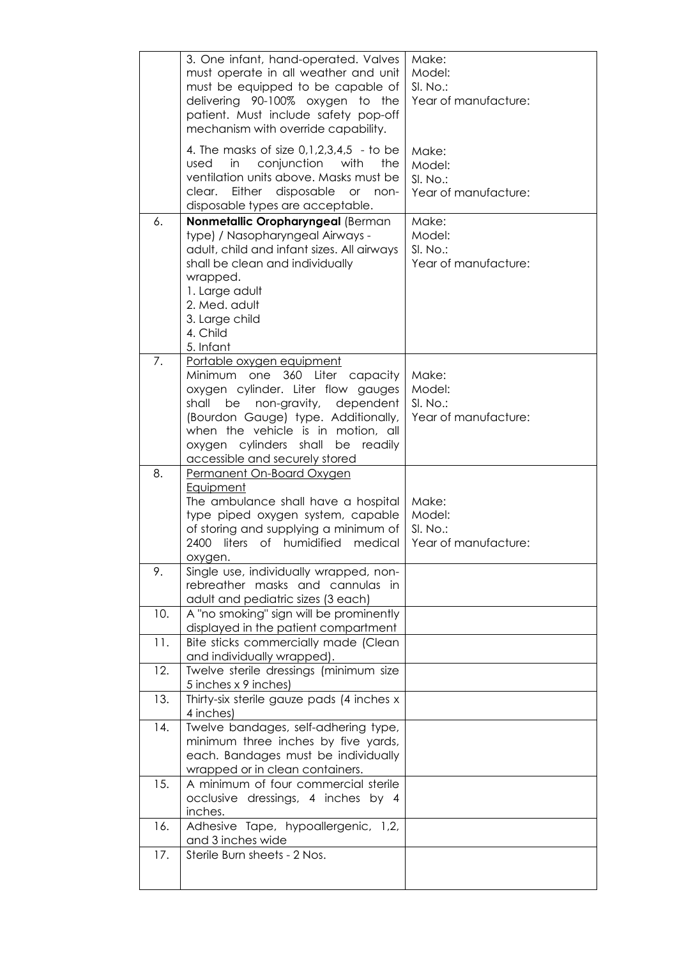|     | 3. One infant, hand-operated. Valves<br>must operate in all weather and unit<br>must be equipped to be capable of<br>delivering 90-100% oxygen to the<br>patient. Must include safety pop-off<br>mechanism with override capability.                                                              | Make:<br>Model:<br>SI. No.:<br>Year of manufacture: |
|-----|---------------------------------------------------------------------------------------------------------------------------------------------------------------------------------------------------------------------------------------------------------------------------------------------------|-----------------------------------------------------|
|     | 4. The masks of size $0,1,2,3,4,5$ - to be<br>in<br>conjunction<br>with<br>used<br>the<br>ventilation units above. Masks must be<br>Either disposable or non-<br>clear.<br>disposable types are acceptable.                                                                                       | Make:<br>Model:<br>SI. No.:<br>Year of manufacture: |
| 6.  | Nonmetallic Oropharyngeal (Berman<br>type) / Nasopharyngeal Airways -<br>adult, child and infant sizes. All airways<br>shall be clean and individually<br>wrapped.<br>1. Large adult<br>2. Med. adult<br>3. Large child<br>4. Child<br>5. Infant                                                  | Make:<br>Model:<br>SI. No.:<br>Year of manufacture: |
| 7.  | Portable oxygen equipment<br>360 Liter capacity<br>Minimum one<br>oxygen cylinder. Liter flow gauges<br>non-gravity, dependent<br>shall<br>be<br>(Bourdon Gauge) type. Additionally,<br>when the vehicle is in motion, all<br>oxygen cylinders shall be readily<br>accessible and securely stored | Make:<br>Model:<br>SI. No.:<br>Year of manufacture: |
| 8.  | Permanent On-Board Oxygen<br><b>Equipment</b><br>The ambulance shall have a hospital<br>type piped oxygen system, capable<br>of storing and supplying a minimum of<br>liters<br>of humidified<br>2400<br>medical<br>oxygen.                                                                       | Make:<br>Model:<br>SI. No.:<br>Year of manufacture: |
| 9.  | Single use, individually wrapped, non-<br>rebreather masks and cannulas in<br>adult and pediatric sizes (3 each)                                                                                                                                                                                  |                                                     |
| 10. | A "no smoking" sign will be prominently<br>displayed in the patient compartment                                                                                                                                                                                                                   |                                                     |
| 11. | Bite sticks commercially made (Clean<br>and individually wrapped).                                                                                                                                                                                                                                |                                                     |
| 12. | Twelve sterile dressings (minimum size<br>5 inches x 9 inches)                                                                                                                                                                                                                                    |                                                     |
| 13. | Thirty-six sterile gauze pads (4 inches x<br>4 inches)                                                                                                                                                                                                                                            |                                                     |
| 14. | Twelve bandages, self-adhering type,<br>minimum three inches by five yards,<br>each. Bandages must be individually<br>wrapped or in clean containers.                                                                                                                                             |                                                     |
| 15. | A minimum of four commercial sterile<br>occlusive dressings, 4 inches by 4<br>inches.                                                                                                                                                                                                             |                                                     |
| 16. | Adhesive Tape, hypoallergenic, 1,2,<br>and 3 inches wide                                                                                                                                                                                                                                          |                                                     |
| 17. | Sterile Burn sheets - 2 Nos.                                                                                                                                                                                                                                                                      |                                                     |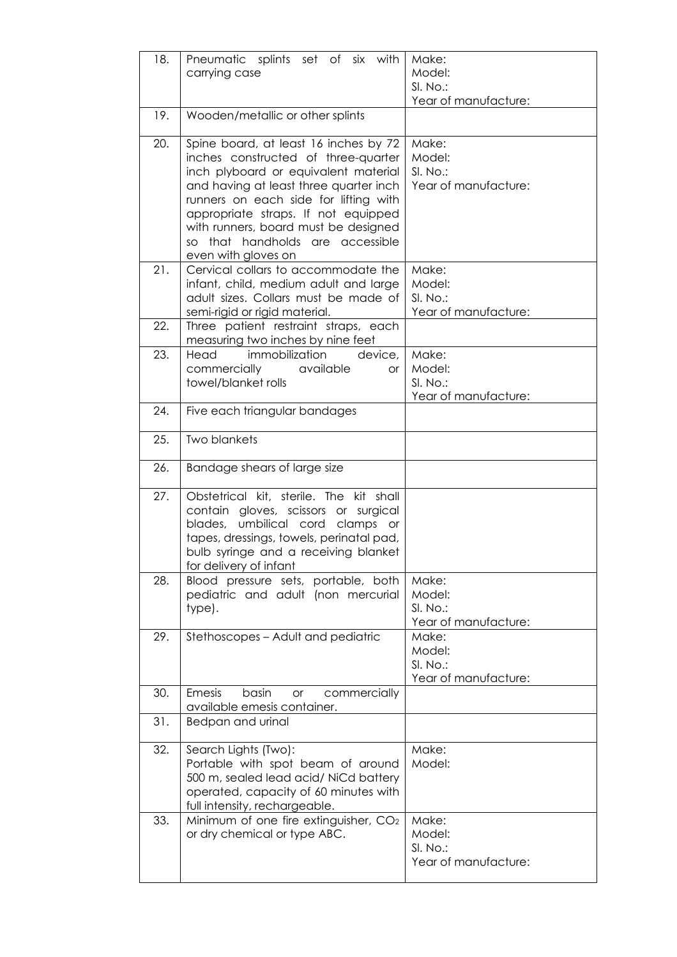| 18. | Pneumatic splints set of six with<br>carrying case                                                                                                                                                                                                                                                                                                   | Make:<br>Model:<br>SI. No.:<br>Year of manufacture: |  |
|-----|------------------------------------------------------------------------------------------------------------------------------------------------------------------------------------------------------------------------------------------------------------------------------------------------------------------------------------------------------|-----------------------------------------------------|--|
| 19. | Wooden/metallic or other splints                                                                                                                                                                                                                                                                                                                     |                                                     |  |
| 20. | Spine board, at least 16 inches by 72<br>inches constructed of three-quarter<br>inch plyboard or equivalent material<br>and having at least three quarter inch<br>runners on each side for lifting with<br>appropriate straps. If not equipped<br>with runners, board must be designed<br>that handholds are accessible<br>SO<br>even with gloves on | Make:<br>Model:<br>SI. No.:<br>Year of manufacture: |  |
| 21. | Cervical collars to accommodate the<br>infant, child, medium adult and large<br>adult sizes. Collars must be made of<br>semi-rigid or rigid material.                                                                                                                                                                                                | Make:<br>Model:<br>SI. No.:<br>Year of manufacture: |  |
| 22. | Three patient restraint straps, each<br>measuring two inches by nine feet                                                                                                                                                                                                                                                                            |                                                     |  |
| 23. | immobilization<br>device,<br>Head<br>commercially<br>available<br><b>or</b><br>towel/blanket rolls                                                                                                                                                                                                                                                   | Make:<br>Model:<br>SI. No.:<br>Year of manufacture: |  |
| 24. | Five each triangular bandages                                                                                                                                                                                                                                                                                                                        |                                                     |  |
| 25. | <b>Two blankets</b>                                                                                                                                                                                                                                                                                                                                  |                                                     |  |
| 26. | Bandage shears of large size                                                                                                                                                                                                                                                                                                                         |                                                     |  |
| 27. | Obstetrical kit, sterile. The kit shall<br>contain gloves, scissors or surgical<br>umbilical cord clamps or<br>blades,<br>tapes, dressings, towels, perinatal pad,<br>bulb syringe and a receiving blanket<br>for delivery of infant                                                                                                                 |                                                     |  |
| 28. | Blood pressure sets, portable, both<br>pediatric and adult (non mercurial<br>type).                                                                                                                                                                                                                                                                  | Make:<br>Model:<br>SI. No.:<br>Year of manufacture: |  |
| 29. | Stethoscopes - Adult and pediatric                                                                                                                                                                                                                                                                                                                   | Make:<br>Model:<br>SI. No.:<br>Year of manufacture: |  |
| 30. | Emesis<br>basin<br>commercially<br><b>or</b><br>available emesis container.                                                                                                                                                                                                                                                                          |                                                     |  |
| 31. | Bedpan and urinal                                                                                                                                                                                                                                                                                                                                    |                                                     |  |
| 32. | Search Lights (Two):<br>Portable with spot beam of around<br>500 m, sealed lead acid/ NiCd battery<br>operated, capacity of 60 minutes with<br>full intensity, rechargeable.                                                                                                                                                                         | Make:<br>Model:                                     |  |
| 33. | Minimum of one fire extinguisher, CO <sub>2</sub><br>or dry chemical or type ABC.                                                                                                                                                                                                                                                                    | Make:<br>Model:<br>SI. No.:<br>Year of manufacture: |  |